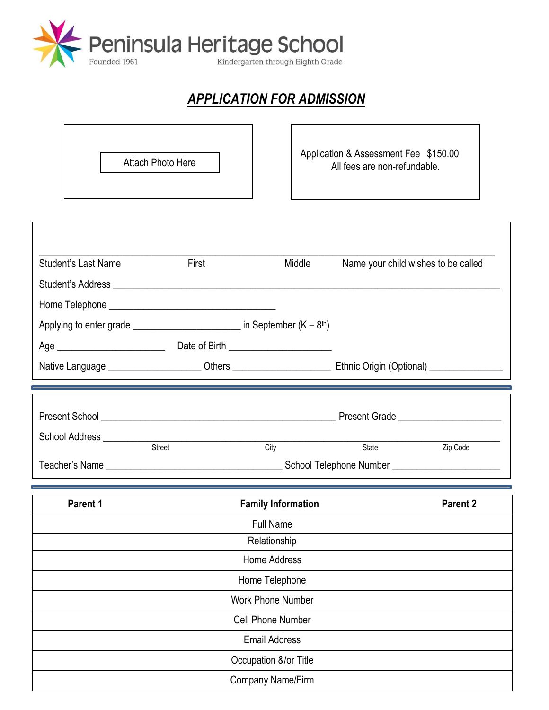

## *APPLICATION FOR ADMISSION*

| Attach Photo Here | Application & Assessment Fee \$150.00<br>All fees are non-refundable. |
|-------------------|-----------------------------------------------------------------------|
|                   |                                                                       |

| Parent 1                                                                                                             |                                                                                                                               | <b>Family Information</b>                 |                                     | <b>Parent 2</b> |
|----------------------------------------------------------------------------------------------------------------------|-------------------------------------------------------------------------------------------------------------------------------|-------------------------------------------|-------------------------------------|-----------------|
|                                                                                                                      | <u> 1989 - Johann Steffenson, fransk politik (f. 1989)</u>                                                                    |                                           |                                     |                 |
|                                                                                                                      | Street                                                                                                                        | City                                      | State                               | Zip Code        |
|                                                                                                                      |                                                                                                                               |                                           |                                     |                 |
| Native Language ________________________Others _________________________________Ethnic Origin (Optional) ___________ | <u> 1988 - Andrea Santa Alexandria (h. 1988).</u><br>2001 - Andrea Santa Alexandria, frantziar martxar eta idazlea (h. 1989). |                                           |                                     |                 |
|                                                                                                                      |                                                                                                                               | Date of Birth ___________________________ |                                     |                 |
| Applying to enter grade $\frac{1}{2}$ and $\frac{1}{2}$ in September (K – 8 <sup>th</sup> )                          |                                                                                                                               |                                           |                                     |                 |
|                                                                                                                      |                                                                                                                               |                                           |                                     |                 |
| Student's Last Name                                                                                                  | First                                                                                                                         | Middle                                    | Name your child wishes to be called |                 |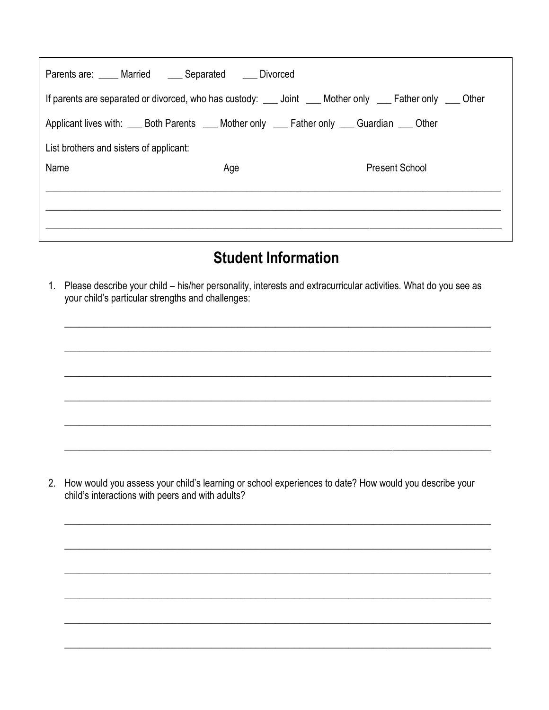| Parents are: _____ Married _____ Separated _____ Divorced                                                  |     |  |                       |  |  |
|------------------------------------------------------------------------------------------------------------|-----|--|-----------------------|--|--|
| If parents are separated or divorced, who has custody: ___ Joint ___ Mother only ___ Father only ___ Other |     |  |                       |  |  |
| Applicant lives with: Both Parents All Mother only All Father only All Guardian All Other                  |     |  |                       |  |  |
| List brothers and sisters of applicant:                                                                    |     |  |                       |  |  |
| Name                                                                                                       | Age |  | <b>Present School</b> |  |  |
|                                                                                                            |     |  |                       |  |  |
|                                                                                                            |     |  |                       |  |  |
|                                                                                                            |     |  |                       |  |  |

## **Student Information**

1. Please describe your child - his/her personality, interests and extracurricular activities. What do you see as your child's particular strengths and challenges:

2. How would you assess your child's learning or school experiences to date? How would you describe your child's interactions with peers and with adults?